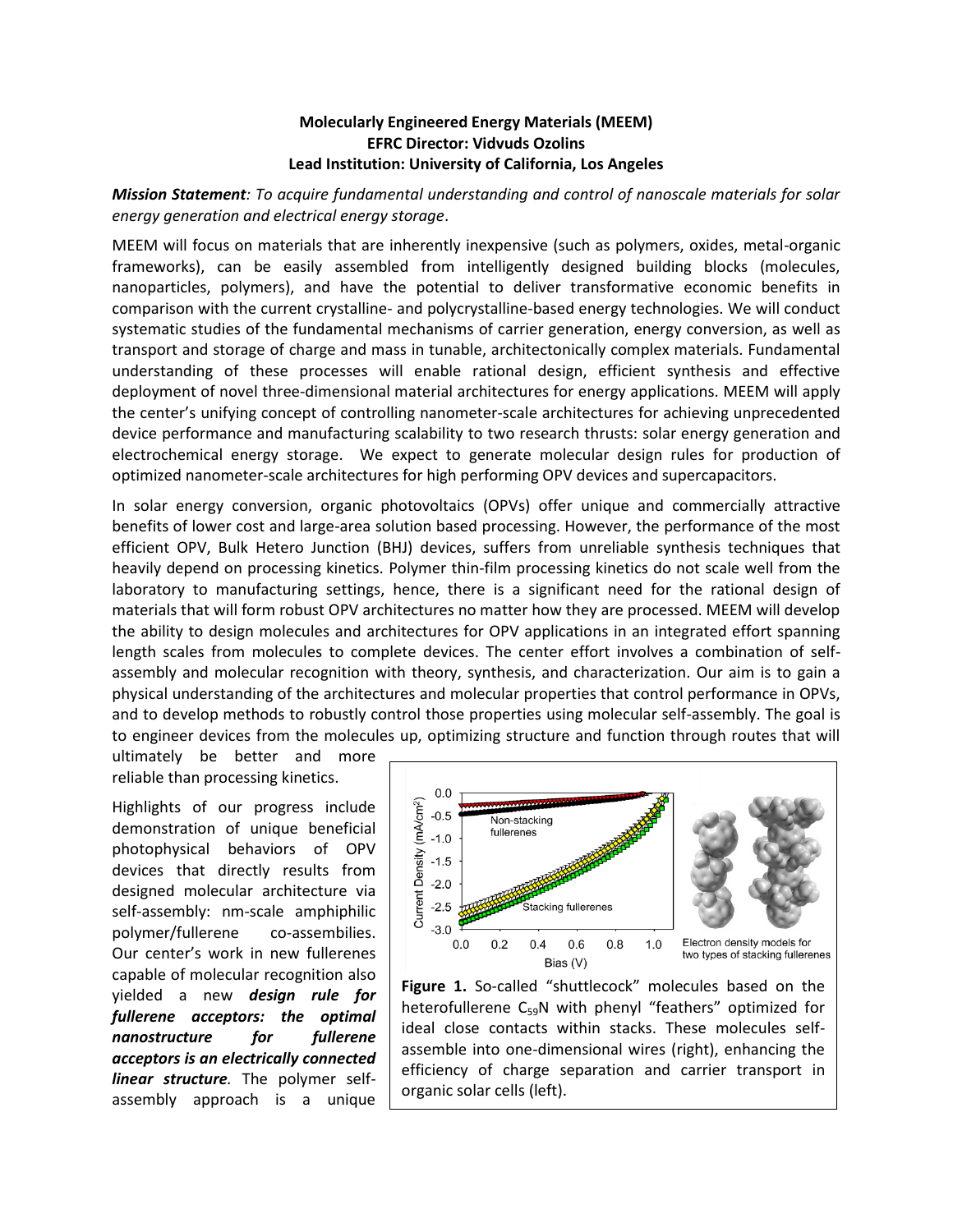## **Molecularly Engineered Energy Materials (MEEM) EFRC Director: Vidvuds Ozolins Lead Institution: University of California, Los Angeles**

*Mission Statement: To acquire fundamental understanding and control of nanoscale materials for solar energy generation and electrical energy storage*.

MEEM will focus on materials that are inherently inexpensive (such as polymers, oxides, metal-organic frameworks), can be easily assembled from intelligently designed building blocks (molecules, nanoparticles, polymers), and have the potential to deliver transformative economic benefits in comparison with the current crystalline- and polycrystalline-based energy technologies. We will conduct systematic studies of the fundamental mechanisms of carrier generation, energy conversion, as well as transport and storage of charge and mass in tunable, architectonically complex materials. Fundamental understanding of these processes will enable rational design, efficient synthesis and effective deployment of novel three-dimensional material architectures for energy applications. MEEM will apply the center's unifying concept of controlling nanometer-scale architectures for achieving unprecedented device performance and manufacturing scalability to two research thrusts: solar energy generation and electrochemical energy storage. We expect to generate molecular design rules for production of optimized nanometer-scale architectures for high performing OPV devices and supercapacitors.

In solar energy conversion, organic photovoltaics (OPVs) offer unique and commercially attractive benefits of lower cost and large-area solution based processing. However, the performance of the most efficient OPV, Bulk Hetero Junction (BHJ) devices, suffers from unreliable synthesis techniques that heavily depend on processing kinetics. Polymer thin-film processing kinetics do not scale well from the laboratory to manufacturing settings, hence, there is a significant need for the rational design of materials that will form robust OPV architectures no matter how they are processed. MEEM will develop the ability to design molecules and architectures for OPV applications in an integrated effort spanning length scales from molecules to complete devices. The center effort involves a combination of selfassembly and molecular recognition with theory, synthesis, and characterization. Our aim is to gain a physical understanding of the architectures and molecular properties that control performance in OPVs, and to develop methods to robustly control those properties using molecular self-assembly. The goal is to engineer devices from the molecules up, optimizing structure and function through routes that will

ultimately be better and more reliable than processing kinetics.

Highlights of our progress include demonstration of unique beneficial photophysical behaviors of OPV devices that directly results from designed molecular architecture via self-assembly: nm-scale amphiphilic polymer/fullerene co-assembilies. Our center's work in new fullerenes capable of molecular recognition also yielded a new *design rule for fullerene acceptors: the optimal nanostructure for fullerene acceptors is an electrically connected linear structure.* The polymer selfassembly approach is a unique



Figure 1. So-called "shuttlecock" molecules based on the heterofullerene  $C_{59}N$  with phenyl "feathers" optimized for ideal close contacts within stacks. These molecules selfassemble into one-dimensional wires (right), enhancing the efficiency of charge separation and carrier transport in organic solar cells (left).